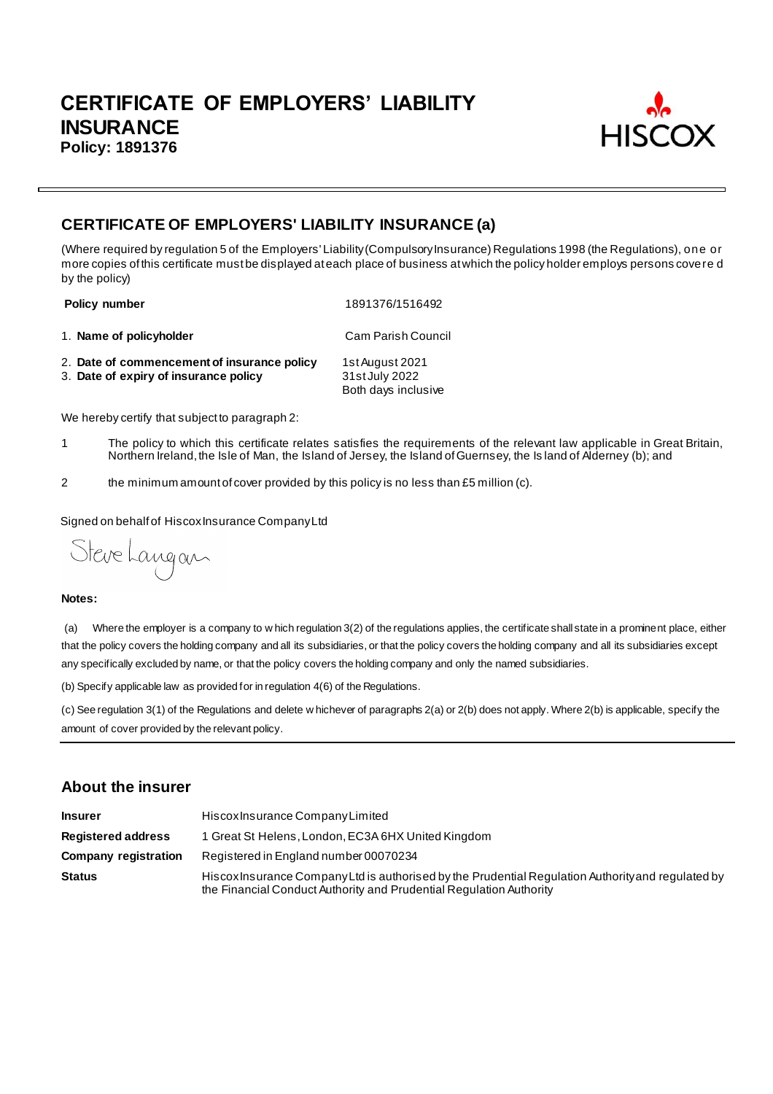

# **CERTIFICATE OF EMPLOYERS' LIABILITY INSURANCE (a)**

(Where required by regulation 5 of the Employers' Liability (Compulsory Insurance) Regulations 1998 (the Regulations), one or more copies of this certificate must be displayed at each place of business at which the policy holder employs persons covere d by the policy)

**Policy number** 1891376/1516492

1. **Name of policyholder** Cam Parish Council

2. **Date of commencement of insurance policy** 1st August 2021 3. Date of expiry of insurance policy Both days inclusive

We hereby certify that subject to paragraph 2:

- 1 The policy to which this certificate relates satisfies the requirements of the relevant law applicable in Great Britain, Northern Ireland, the Isle of Man, the Island of Jersey, the Island of Guernsey, the Is land of Alderney (b); and
- 2 the minimum amount of cover provided by this policy is no less than £5 million (c).

Signed on behalf of Hiscox Insurance Company Ltd

Steve Langan

#### **Notes:**

(a) Where the employer is a company to w hich regulation 3(2) of the regulations applies, the certificate shall state in a prominent place, either that the policy covers the holding company and all its subsidiaries, or that the policy covers the holding company and all its subsidiaries except any specifically excluded by name, or that the policy covers the holding company and only the named subsidiaries.

(b) Specify applicable law as provided for in regulation 4(6) of the Regulations.

(c) See regulation 3(1) of the Regulations and delete w hichever of paragraphs 2(a) or 2(b) does not apply. Where 2(b) is applicable, specify the amount of cover provided by the relevant policy.

## **About the insurer**

| <b>Insurer</b>              | Hiscox Insurance Company Limited                                                                                                                                          |
|-----------------------------|---------------------------------------------------------------------------------------------------------------------------------------------------------------------------|
| <b>Registered address</b>   | 1 Great St Helens, London, EC3A 6HX United Kingdom                                                                                                                        |
| <b>Company registration</b> | Registered in England number 00070234                                                                                                                                     |
| <b>Status</b>               | Hiscox Insurance Company Ltd is authorised by the Prudential Regulation Authority and regulated by<br>the Financial Conduct Authority and Prudential Regulation Authority |